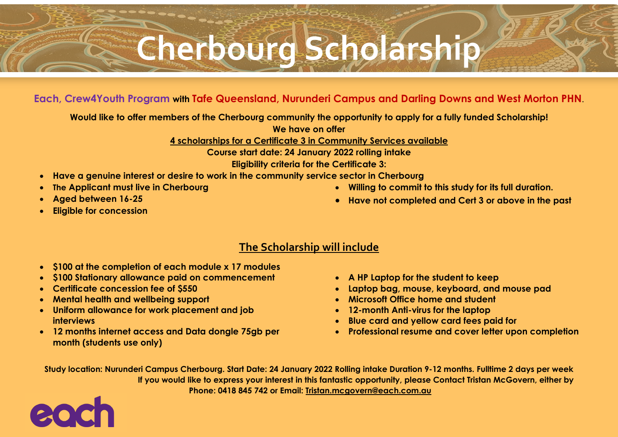## **Cherbourg Scholarship**

## **Each, Crew4Youth Program with Tafe Queensland, Nurunderi Campus and Darling Downs and West Morton PHN**.

**Would like to offer members of the Cherbourg community the opportunity to apply for a fully funded Scholarship!** 

**We have on offer** 

**4 scholarships for a Certificate 3 in Community Services available**

**Course start date: 24 January 2022 rolling intake** 

**Eligibility criteria for the Certificate 3:**

- **Have a genuine interest or desire to work in the community service sector in Cherbourg**
- **The Applicant must live in Cherbourg**
- **Aged between 16-25**
- **Eligible for concession**

• **Have not completed and Cert 3 or above in the past** 

• **Willing to commit to this study for its full duration.** 

- **The Scholarship will include**
- **\$100 at the completion of each module x 17 modules**
- **\$100 Stationary allowance paid on commencement**
- **Certificate concession fee of \$550**
- **Mental health and wellbeing support**
- **Uniform allowance for work placement and job interviews**
- **12 months internet access and Data dongle 75gb per month (students use only)**
- **A HP Laptop for the student to keep**
- **Laptop bag, mouse, keyboard, and mouse pad**
- **Microsoft Office home and student**
- **12-month Anti-virus for the laptop**
- **Blue card and yellow card fees paid for**
- **Professional resume and cover letter upon completion**

**Study location: Nurunderi Campus Cherbourg. Start Date: 24 January 2022 Rolling intake Duration 9-12 months. Fulltime 2 days per week If you would like to express your interest in this fantastic opportunity, please Contact Tristan McGovern, either by Phone: 0418 845 742 or Email: [Tristan.mcgovern@each.com.au](mailto:Tristan.mcgovern@each.com.au)**